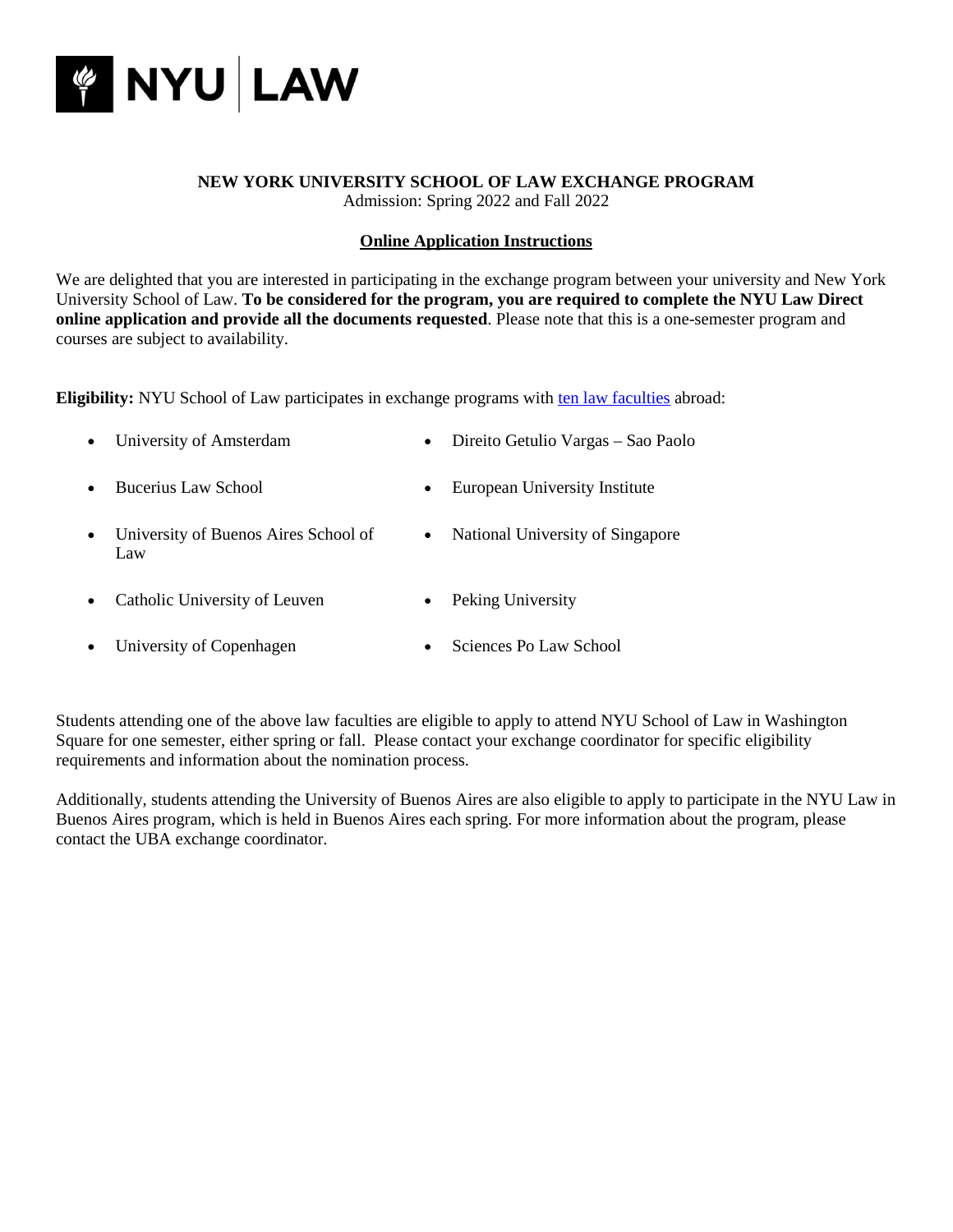

#### **NEW YORK UNIVERSITY SCHOOL OF LAW EXCHANGE PROGRAM** Admission: Spring 2022 and Fall 2022

# **Online Application Instructions**

We are delighted that you are interested in participating in the exchange program between your university and New York University School of Law. **To be considered for the program, you are required to complete the NYU Law Direct online application and provide all the documents requested**. Please note that this is a one-semester program and courses are subject to availability.

**Eligibility:** NYU School of Law participates in exchange programs with ten [law faculties](http://www.law.nyu.edu/global/globalopportunities/incomingexchangestudents/) abroad:

| • University of Amsterdam | • Direito Getulio Vargas – Sao Paolo |
|---------------------------|--------------------------------------|
| • Bucerius Law School     | • European University Institute      |

- University of Buenos Aires School of National University of Singapore Law
- Catholic University of Leuven Peking University
- University of Copenhagen Sciences Po Law School

Students attending one of the above law faculties are eligible to apply to attend NYU School of Law in Washington Square for one semester, either spring or fall. Please contact your exchange coordinator for specific eligibility requirements and information about the nomination process.

Additionally, students attending the University of Buenos Aires are also eligible to apply to participate in the NYU Law in Buenos Aires program, which is held in Buenos Aires each spring. For more information about the program, please contact the UBA exchange coordinator.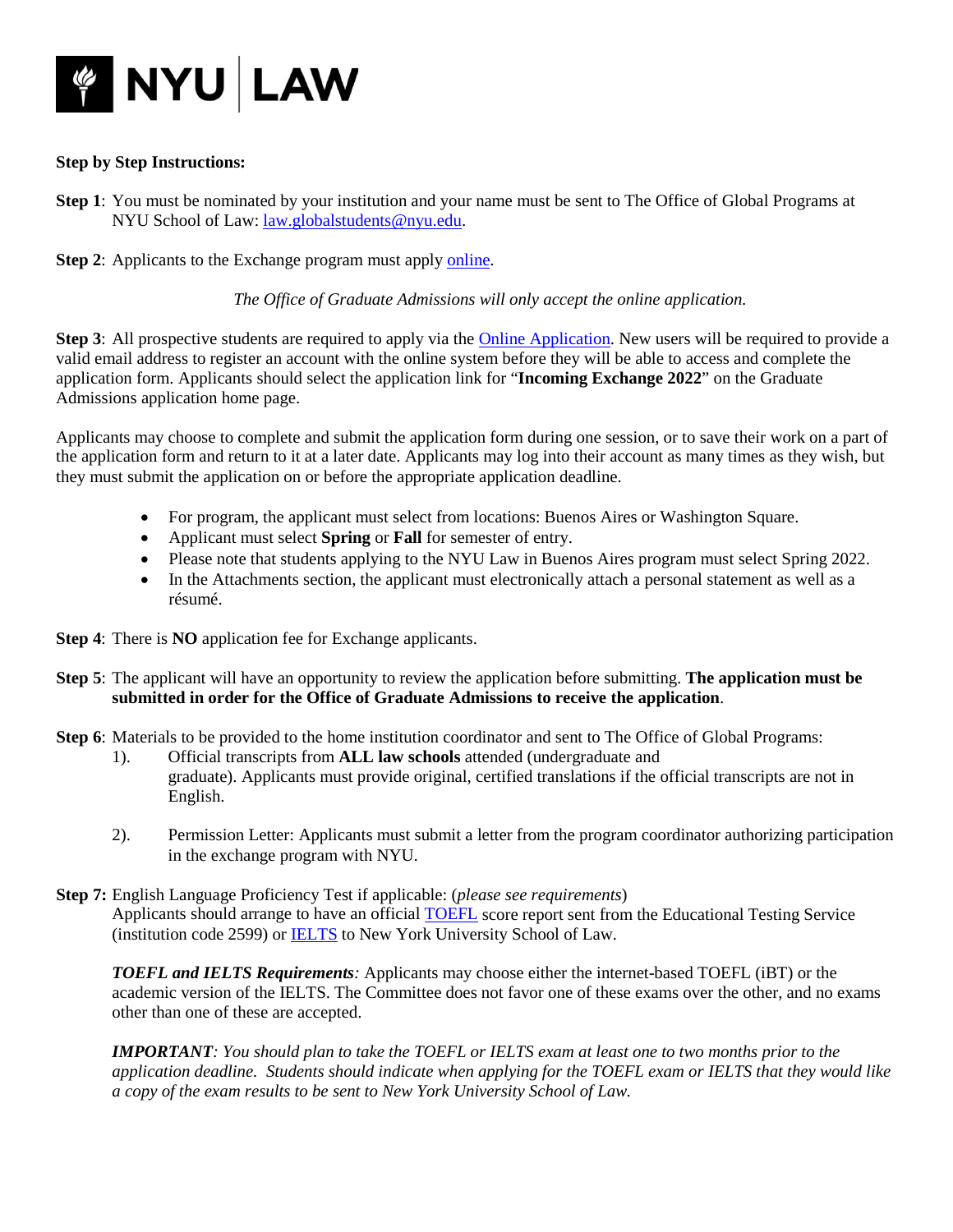

# **Step by Step Instructions:**

**Step 1**: You must be nominated by your institution and your name must be sent to The Office of Global Programs at NYU School of Law: [law.globalstudents@nyu.edu.](mailto:law.globalstudents@nyu.edu)

**Step 2**: Applicants to the Exchange program must apply [online.](https://apps.law.nyu.edu/grad-app/user/login)

*The Office of Graduate Admissions will only accept the online application.*

**Step 3**: All prospective students are required to apply via the **Online Application**. New users will be required to provide a valid email address to register an account with the online system before they will be able to access and complete the application form. Applicants should select the application link for "**Incoming Exchange 2022**" on the Graduate Admissions application home page.

Applicants may choose to complete and submit the application form during one session, or to save their work on a part of the application form and return to it at a later date. Applicants may log into their account as many times as they wish, but they must submit the application on or before the appropriate application deadline.

- For program, the applicant must select from locations: Buenos Aires or Washington Square.
- Applicant must select **Spring** or **Fall** for semester of entry.
- Please note that students applying to the NYU Law in Buenos Aires program must select Spring 2022.
- In the Attachments section, the applicant must electronically attach a personal statement as well as a résumé.
- **Step 4**: There is **NO** application fee for Exchange applicants.
- **Step 5**: The applicant will have an opportunity to review the application before submitting. **The application must be submitted in order for the Office of Graduate Admissions to receive the application**.

**Step 6**: Materials to be provided to the home institution coordinator and sent to The Office of Global Programs:

- 1). Official transcripts from **ALL law schools** attended (undergraduate and graduate). Applicants must provide original, certified translations if the official transcripts are not in English.
- 2). Permission Letter: Applicants must submit a letter from the program coordinator authorizing participation in the exchange program with NYU.
- **Step 7:** English Language Proficiency Test if applicable: (*please see requirements*) Applicants should arrange to have an officia[l TOEFL](http://www.toefl.org/) score report sent from the Educational Testing Service (institution code 2599) or [IELTS](http://www.ielts.org/) to New York University School of Law.

*TOEFL and IELTS Requirements:* Applicants may choose either the internet-based TOEFL (iBT) or the academic version of the IELTS. The Committee does not favor one of these exams over the other, and no exams other than one of these are accepted.

*IMPORTANT: You should plan to take the TOEFL or IELTS exam at least one to two months prior to the application deadline. Students should indicate when applying for the TOEFL exam or IELTS that they would like a copy of the exam results to be sent to New York University School of Law.*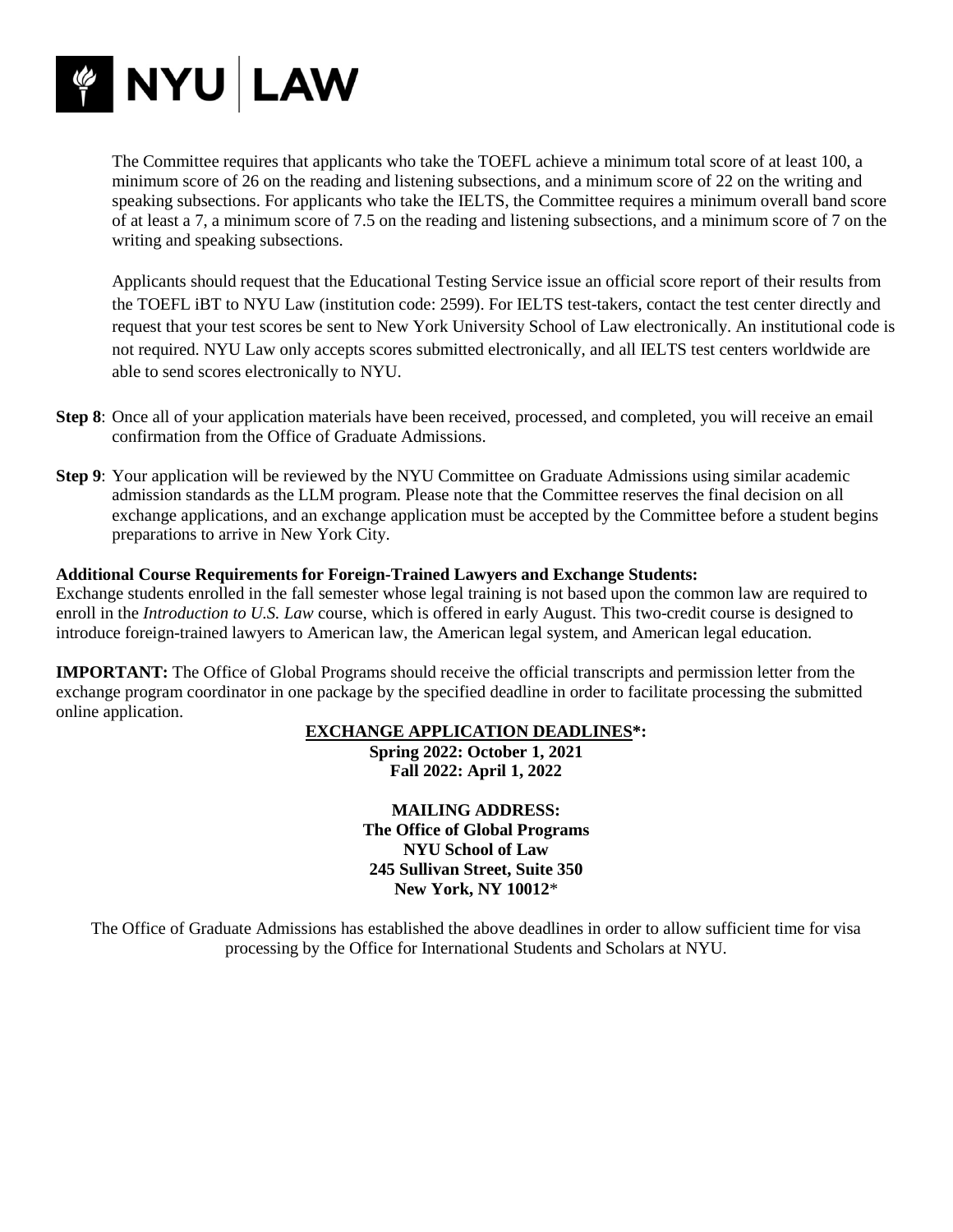

The Committee requires that applicants who take the TOEFL achieve a minimum total score of at least 100, a minimum score of 26 on the reading and listening subsections, and a minimum score of 22 on the writing and speaking subsections. For applicants who take the IELTS, the Committee requires a minimum overall band score of at least a 7, a minimum score of 7.5 on the reading and listening subsections, and a minimum score of 7 on the writing and speaking subsections.

Applicants should request that the Educational Testing Service issue an official score report of their results from the TOEFL iBT to NYU Law (institution code: 2599). For IELTS test-takers, contact the test center directly and request that your test scores be sent to New York University School of Law electronically. An institutional code is not required. NYU Law only accepts scores submitted electronically, and all IELTS test centers worldwide are able to send scores electronically to NYU.

- **Step 8**: Once all of your application materials have been received, processed, and completed, you will receive an email confirmation from the Office of Graduate Admissions.
- **Step 9**: Your application will be reviewed by the NYU Committee on Graduate Admissions using similar academic admission standards as the LLM program. Please note that the Committee reserves the final decision on all exchange applications, and an exchange application must be accepted by the Committee before a student begins preparations to arrive in New York City.

# **Additional Course Requirements for Foreign-Trained Lawyers and Exchange Students:**

Exchange students enrolled in the fall semester whose legal training is not based upon the common law are required to enroll in the *Introduction to U.S. Law* course, which is offered in early August. This two-credit course is designed to introduce foreign-trained lawyers to American law, the American legal system, and American legal education.

**IMPORTANT:** The Office of Global Programs should receive the official transcripts and permission letter from the exchange program coordinator in one package by the specified deadline in order to facilitate processing the submitted online application.

### **EXCHANGE APPLICATION DEADLINES\*:**

**Spring 2022: October 1, 2021 Fall 2022: April 1, 2022**

**MAILING ADDRESS: The Office of Global Programs NYU School of Law 245 Sullivan Street, Suite 350 New York, NY 10012**\*

The Office of Graduate Admissions has established the above deadlines in order to allow sufficient time for visa processing by the Office for International Students and Scholars at NYU.